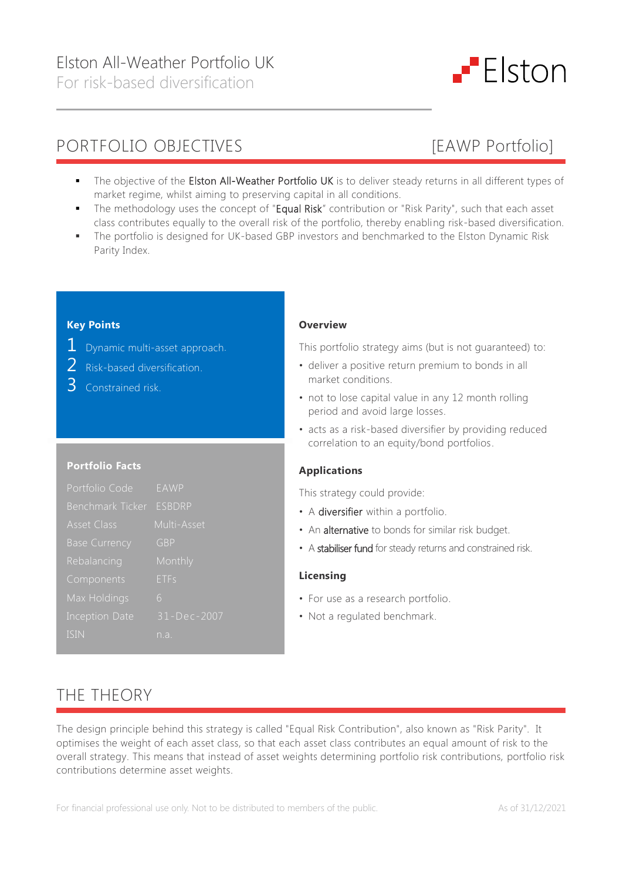

- 
- The objective of the Elston All-Weather Portfolio UK is to deliver steady returns in all different types of market regime, whilst aiming to preserving capital in all conditions.
- The methodology uses the concept of "Equal Risk" contribution or "Risk Parity", such that each asset class contributes equally to the overall risk of the portfolio, thereby enabling risk-based diversification.
- The portfolio is designed for UK-based GBP investors and benchmarked to the Elston Dynamic Risk Parity Index.

### **Key Points**

- 1 Dynamic multi-asset approach.
- 2 Risk-based diversification.
- 3 Constrained risk.

### **Portfolio Facts**

| Portfolio Code          | <b>EAWP</b>   |
|-------------------------|---------------|
| <b>Benchmark Ticker</b> | <b>ESBDRP</b> |
| <b>Asset Class</b>      | Multi-Asset   |
| <b>Base Currency</b>    | GBP           |
| Rebalancing             | Monthly       |
| Components              | ETFs          |
| Max Holdings            | 6             |
| <b>Inception Date</b>   | 31-Dec-2007   |
| <b>ISIN</b>             | n.a.          |

### **Overview**

This portfolio strategy aims (but is not guaranteed) to:

- deliver a positive return premium to bonds in all market conditions.
- not to lose capital value in any 12 month rolling period and avoid large losses.
- acts as a risk-based diversifier by providing reduced correlation to an equity/bond portfolios.

## **Applications**

This strategy could provide:

- A diversifier within a portfolio.
- An alternative to bonds for similar risk budget.
- A stabiliser fund for steady returns and constrained risk.

#### **Licensing**

- For use as a research portfolio.
- Not a regulated benchmark.

# THE THEORY

The design principle behind this strategy is called "Equal Risk Contribution", also known as "Risk Parity". It optimises the weight of each asset class, so that each asset class contributes an equal amount of risk to the overall strategy. This means that instead of asset weights determining portfolio risk contributions, portfolio risk contributions determine asset weights.

For financial professional use only. Not to be distributed to members of the public. As of 31/12/2021